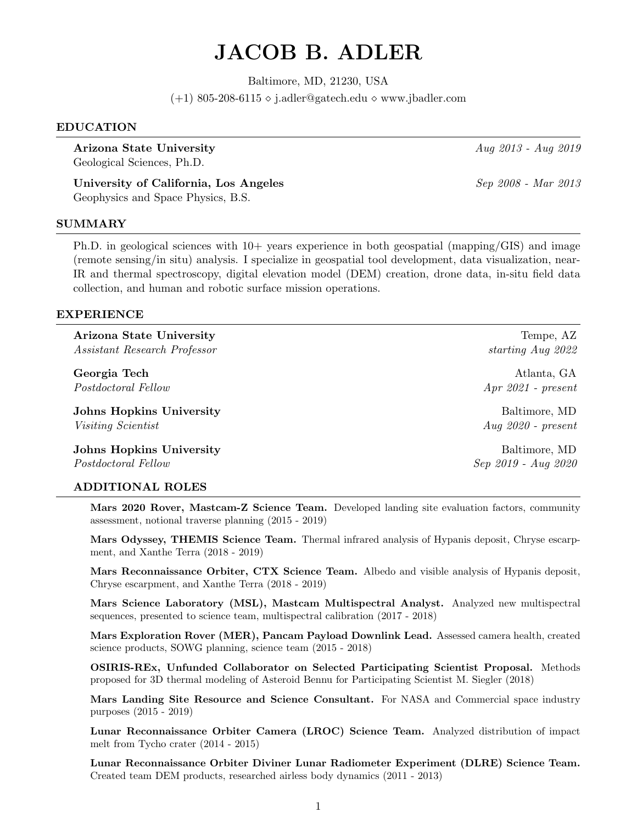# JACOB B. ADLER

Baltimore, MD, 21230, USA

(+1) 805-208-6115  $\diamond$  j.adler@gatech.edu  $\diamond$  www.jbadler.com

# EDUCATION

Arizona State University Aug. 2013 - Aug. 2019 Geological Sciences, Ph.D.

University of California, Los Angeles Sep 2008 - Mar 2013 Geophysics and Space Physics, B.S.

# SUMMARY

Ph.D. in geological sciences with 10+ years experience in both geospatial (mapping/GIS) and image (remote sensing/in situ) analysis. I specialize in geospatial tool development, data visualization, near-IR and thermal spectroscopy, digital elevation model (DEM) creation, drone data, in-situ field data collection, and human and robotic surface mission operations.

# EXPERIENCE

Arizona State University Tempe, AZ Assistant Research Professor starting Aug 2022

Georgia Tech and the contract of the contract of the contract of the contract of the contract of the contract of the contract of the contract of the contract of the contract of the contract of the contract of the contract Postdoctoral Fellow Apr 2021 - present

**Johns Hopkins University** And **Baltimore**, MD Visiting Scientist Aug 2020 - present

**Johns Hopkins University Baltimore, MD** Postdoctoral Fellow Sep 2019 - Aug 2020

# ADDITIONAL ROLES

Mars 2020 Rover, Mastcam-Z Science Team. Developed landing site evaluation factors, community assessment, notional traverse planning (2015 - 2019)

Mars Odyssey, THEMIS Science Team. Thermal infrared analysis of Hypanis deposit, Chryse escarpment, and Xanthe Terra (2018 - 2019)

Mars Reconnaissance Orbiter, CTX Science Team. Albedo and visible analysis of Hypanis deposit, Chryse escarpment, and Xanthe Terra (2018 - 2019)

Mars Science Laboratory (MSL), Mastcam Multispectral Analyst. Analyzed new multispectral sequences, presented to science team, multispectral calibration (2017 - 2018)

Mars Exploration Rover (MER), Pancam Payload Downlink Lead. Assessed camera health, created science products, SOWG planning, science team (2015 - 2018)

OSIRIS-REx, Unfunded Collaborator on Selected Participating Scientist Proposal. Methods proposed for 3D thermal modeling of Asteroid Bennu for Participating Scientist M. Siegler (2018)

Mars Landing Site Resource and Science Consultant. For NASA and Commercial space industry purposes (2015 - 2019)

Lunar Reconnaissance Orbiter Camera (LROC) Science Team. Analyzed distribution of impact melt from Tycho crater (2014 - 2015)

Lunar Reconnaissance Orbiter Diviner Lunar Radiometer Experiment (DLRE) Science Team. Created team DEM products, researched airless body dynamics (2011 - 2013)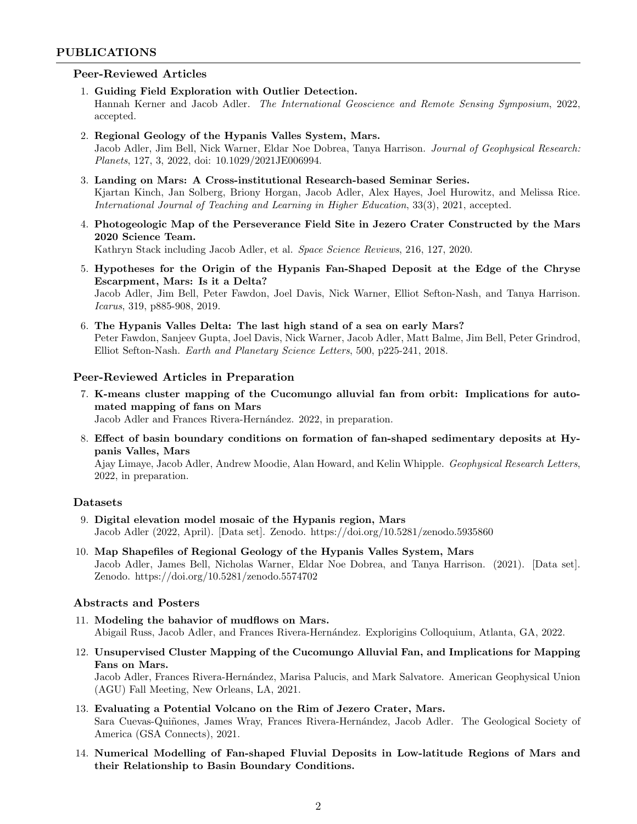# PUBLICATIONS

# Peer-Reviewed Articles

- 1. Guiding Field Exploration with Outlier Detection. Hannah Kerner and Jacob Adler. The International Geoscience and Remote Sensing Symposium, 2022, accepted.
- 2. Regional Geology of the Hypanis Valles System, Mars. Jacob Adler, Jim Bell, Nick Warner, Eldar Noe Dobrea, Tanya Harrison. Journal of Geophysical Research: Planets, 127, 3, 2022, doi: 10.1029/2021JE006994.
- 3. Landing on Mars: A Cross-institutional Research-based Seminar Series. Kjartan Kinch, Jan Solberg, Briony Horgan, Jacob Adler, Alex Hayes, Joel Hurowitz, and Melissa Rice. International Journal of Teaching and Learning in Higher Education, 33(3), 2021, accepted.
- 4. Photogeologic Map of the Perseverance Field Site in Jezero Crater Constructed by the Mars 2020 Science Team. Kathryn Stack including Jacob Adler, et al. Space Science Reviews, 216, 127, 2020.
- 5. Hypotheses for the Origin of the Hypanis Fan-Shaped Deposit at the Edge of the Chryse Escarpment, Mars: Is it a Delta? Jacob Adler, Jim Bell, Peter Fawdon, Joel Davis, Nick Warner, Elliot Sefton-Nash, and Tanya Harrison. Icarus, 319, p885-908, 2019.
- 6. The Hypanis Valles Delta: The last high stand of a sea on early Mars? Peter Fawdon, Sanjeev Gupta, Joel Davis, Nick Warner, Jacob Adler, Matt Balme, Jim Bell, Peter Grindrod, Elliot Sefton-Nash. Earth and Planetary Science Letters, 500, p225-241, 2018.

#### Peer-Reviewed Articles in Preparation

- 7. K-means cluster mapping of the Cucomungo alluvial fan from orbit: Implications for automated mapping of fans on Mars Jacob Adler and Frances Rivera-Hernández. 2022, in preparation.
- 8. Effect of basin boundary conditions on formation of fan-shaped sedimentary deposits at Hypanis Valles, Mars

Ajay Limaye, Jacob Adler, Andrew Moodie, Alan Howard, and Kelin Whipple. Geophysical Research Letters, 2022, in preparation.

### Datasets

- 9. Digital elevation model mosaic of the Hypanis region, Mars Jacob Adler (2022, April). [Data set]. Zenodo. https://doi.org/10.5281/zenodo.5935860
- 10. Map Shapefiles of Regional Geology of the Hypanis Valles System, Mars Jacob Adler, James Bell, Nicholas Warner, Eldar Noe Dobrea, and Tanya Harrison. (2021). [Data set]. Zenodo. https://doi.org/10.5281/zenodo.5574702

#### Abstracts and Posters

- 11. Modeling the bahavior of mudflows on Mars. Abigail Russ, Jacob Adler, and Frances Rivera-Hernández. Explorigins Colloquium, Atlanta, GA, 2022.
- 12. Unsupervised Cluster Mapping of the Cucomungo Alluvial Fan, and Implications for Mapping Fans on Mars. Jacob Adler, Frances Rivera-Hern´andez, Marisa Palucis, and Mark Salvatore. American Geophysical Union (AGU) Fall Meeting, New Orleans, LA, 2021.
- 13. Evaluating a Potential Volcano on the Rim of Jezero Crater, Mars. Sara Cuevas-Quiñones, James Wray, Frances Rivera-Hernández, Jacob Adler. The Geological Society of America (GSA Connects), 2021.
- 14. Numerical Modelling of Fan-shaped Fluvial Deposits in Low-latitude Regions of Mars and their Relationship to Basin Boundary Conditions.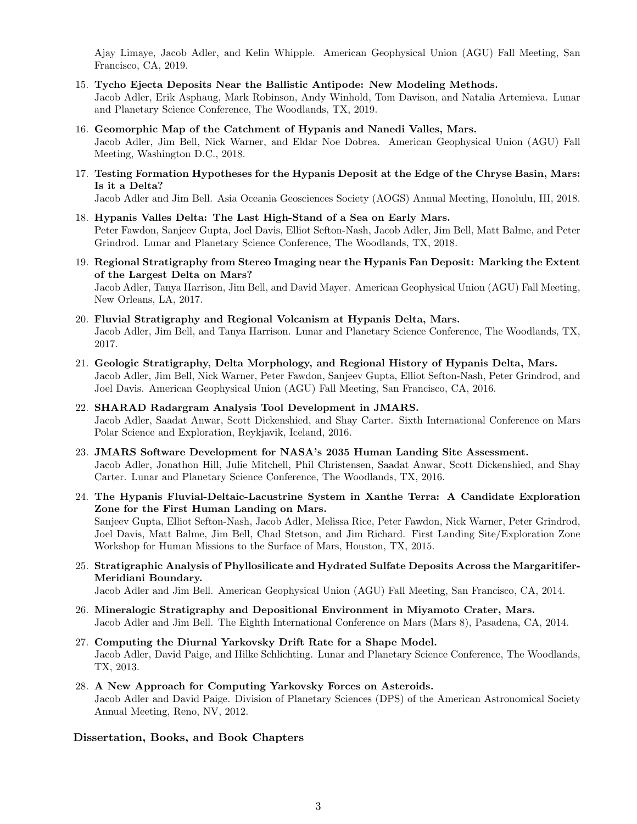Ajay Limaye, Jacob Adler, and Kelin Whipple. American Geophysical Union (AGU) Fall Meeting, San Francisco, CA, 2019.

- 15. Tycho Ejecta Deposits Near the Ballistic Antipode: New Modeling Methods. Jacob Adler, Erik Asphaug, Mark Robinson, Andy Winhold, Tom Davison, and Natalia Artemieva. Lunar and Planetary Science Conference, The Woodlands, TX, 2019.
- 16. Geomorphic Map of the Catchment of Hypanis and Nanedi Valles, Mars. Jacob Adler, Jim Bell, Nick Warner, and Eldar Noe Dobrea. American Geophysical Union (AGU) Fall Meeting, Washington D.C., 2018.
- 17. Testing Formation Hypotheses for the Hypanis Deposit at the Edge of the Chryse Basin, Mars: Is it a Delta?

Jacob Adler and Jim Bell. Asia Oceania Geosciences Society (AOGS) Annual Meeting, Honolulu, HI, 2018.

- 18. Hypanis Valles Delta: The Last High-Stand of a Sea on Early Mars. Peter Fawdon, Sanjeev Gupta, Joel Davis, Elliot Sefton-Nash, Jacob Adler, Jim Bell, Matt Balme, and Peter Grindrod. Lunar and Planetary Science Conference, The Woodlands, TX, 2018.
- 19. Regional Stratigraphy from Stereo Imaging near the Hypanis Fan Deposit: Marking the Extent of the Largest Delta on Mars? Jacob Adler, Tanya Harrison, Jim Bell, and David Mayer. American Geophysical Union (AGU) Fall Meeting, New Orleans, LA, 2017.
- 20. Fluvial Stratigraphy and Regional Volcanism at Hypanis Delta, Mars. Jacob Adler, Jim Bell, and Tanya Harrison. Lunar and Planetary Science Conference, The Woodlands, TX, 2017.
- 21. Geologic Stratigraphy, Delta Morphology, and Regional History of Hypanis Delta, Mars. Jacob Adler, Jim Bell, Nick Warner, Peter Fawdon, Sanjeev Gupta, Elliot Sefton-Nash, Peter Grindrod, and Joel Davis. American Geophysical Union (AGU) Fall Meeting, San Francisco, CA, 2016.
- 22. SHARAD Radargram Analysis Tool Development in JMARS. Jacob Adler, Saadat Anwar, Scott Dickenshied, and Shay Carter. Sixth International Conference on Mars Polar Science and Exploration, Reykjavik, Iceland, 2016.
- 23. JMARS Software Development for NASA's 2035 Human Landing Site Assessment. Jacob Adler, Jonathon Hill, Julie Mitchell, Phil Christensen, Saadat Anwar, Scott Dickenshied, and Shay Carter. Lunar and Planetary Science Conference, The Woodlands, TX, 2016.
- 24. The Hypanis Fluvial-Deltaic-Lacustrine System in Xanthe Terra: A Candidate Exploration Zone for the First Human Landing on Mars. Sanjeev Gupta, Elliot Sefton-Nash, Jacob Adler, Melissa Rice, Peter Fawdon, Nick Warner, Peter Grindrod, Joel Davis, Matt Balme, Jim Bell, Chad Stetson, and Jim Richard. First Landing Site/Exploration Zone Workshop for Human Missions to the Surface of Mars, Houston, TX, 2015.
- 25. Stratigraphic Analysis of Phyllosilicate and Hydrated Sulfate Deposits Across the Margaritifer-Meridiani Boundary.
	- Jacob Adler and Jim Bell. American Geophysical Union (AGU) Fall Meeting, San Francisco, CA, 2014.
- 26. Mineralogic Stratigraphy and Depositional Environment in Miyamoto Crater, Mars. Jacob Adler and Jim Bell. The Eighth International Conference on Mars (Mars 8), Pasadena, CA, 2014.
- 27. Computing the Diurnal Yarkovsky Drift Rate for a Shape Model. Jacob Adler, David Paige, and Hilke Schlichting. Lunar and Planetary Science Conference, The Woodlands, TX, 2013.
- 28. A New Approach for Computing Yarkovsky Forces on Asteroids. Jacob Adler and David Paige. Division of Planetary Sciences (DPS) of the American Astronomical Society Annual Meeting, Reno, NV, 2012.

# Dissertation, Books, and Book Chapters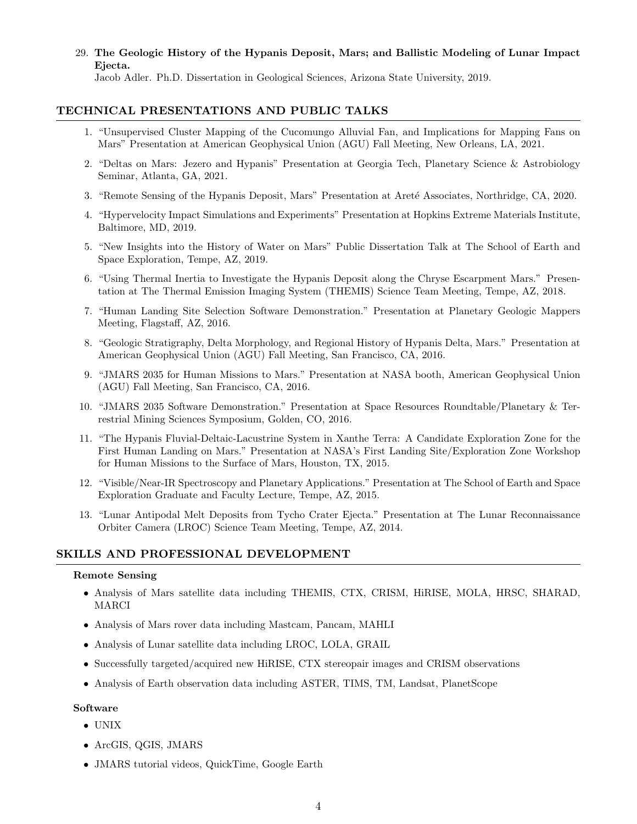# 29. The Geologic History of the Hypanis Deposit, Mars; and Ballistic Modeling of Lunar Impact Ejecta.

Jacob Adler. Ph.D. Dissertation in Geological Sciences, Arizona State University, 2019.

# TECHNICAL PRESENTATIONS AND PUBLIC TALKS

- 1. "Unsupervised Cluster Mapping of the Cucomungo Alluvial Fan, and Implications for Mapping Fans on Mars" Presentation at American Geophysical Union (AGU) Fall Meeting, New Orleans, LA, 2021.
- 2. "Deltas on Mars: Jezero and Hypanis" Presentation at Georgia Tech, Planetary Science & Astrobiology Seminar, Atlanta, GA, 2021.
- 3. "Remote Sensing of the Hypanis Deposit, Mars" Presentation at Areté Associates, Northridge, CA, 2020.
- 4. "Hypervelocity Impact Simulations and Experiments" Presentation at Hopkins Extreme Materials Institute, Baltimore, MD, 2019.
- 5. "New Insights into the History of Water on Mars" Public Dissertation Talk at The School of Earth and Space Exploration, Tempe, AZ, 2019.
- 6. "Using Thermal Inertia to Investigate the Hypanis Deposit along the Chryse Escarpment Mars." Presentation at The Thermal Emission Imaging System (THEMIS) Science Team Meeting, Tempe, AZ, 2018.
- 7. "Human Landing Site Selection Software Demonstration." Presentation at Planetary Geologic Mappers Meeting, Flagstaff, AZ, 2016.
- 8. "Geologic Stratigraphy, Delta Morphology, and Regional History of Hypanis Delta, Mars." Presentation at American Geophysical Union (AGU) Fall Meeting, San Francisco, CA, 2016.
- 9. "JMARS 2035 for Human Missions to Mars." Presentation at NASA booth, American Geophysical Union (AGU) Fall Meeting, San Francisco, CA, 2016.
- 10. "JMARS 2035 Software Demonstration." Presentation at Space Resources Roundtable/Planetary & Terrestrial Mining Sciences Symposium, Golden, CO, 2016.
- 11. "The Hypanis Fluvial-Deltaic-Lacustrine System in Xanthe Terra: A Candidate Exploration Zone for the First Human Landing on Mars." Presentation at NASA's First Landing Site/Exploration Zone Workshop for Human Missions to the Surface of Mars, Houston, TX, 2015.
- 12. "Visible/Near-IR Spectroscopy and Planetary Applications." Presentation at The School of Earth and Space Exploration Graduate and Faculty Lecture, Tempe, AZ, 2015.
- 13. "Lunar Antipodal Melt Deposits from Tycho Crater Ejecta." Presentation at The Lunar Reconnaissance Orbiter Camera (LROC) Science Team Meeting, Tempe, AZ, 2014.

# SKILLS AND PROFESSIONAL DEVELOPMENT

#### Remote Sensing

- Analysis of Mars satellite data including THEMIS, CTX, CRISM, HiRISE, MOLA, HRSC, SHARAD, MARCI
- Analysis of Mars rover data including Mastcam, Pancam, MAHLI
- Analysis of Lunar satellite data including LROC, LOLA, GRAIL
- Successfully targeted/acquired new HiRISE, CTX stereopair images and CRISM observations
- Analysis of Earth observation data including ASTER, TIMS, TM, Landsat, PlanetScope

#### Software

- UNIX
- ArcGIS, QGIS, JMARS
- JMARS tutorial videos, QuickTime, Google Earth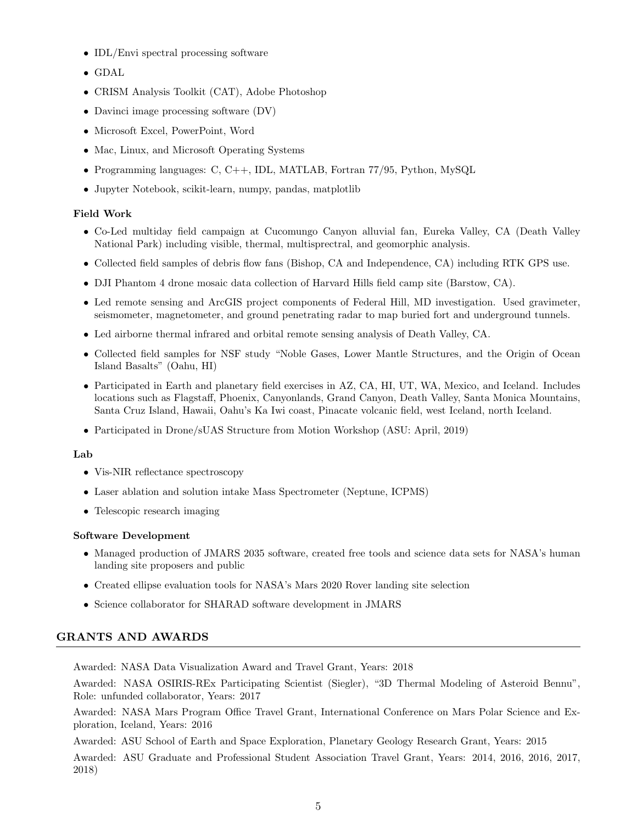- IDL/Envi spectral processing software
- GDAL
- CRISM Analysis Toolkit (CAT), Adobe Photoshop
- Davinci image processing software  $(DV)$
- Microsoft Excel, PowerPoint, Word
- Mac, Linux, and Microsoft Operating Systems
- Programming languages: C, C++, IDL, MATLAB, Fortran 77/95, Python, MySQL
- Jupyter Notebook, scikit-learn, numpy, pandas, matplotlib

# Field Work

- Co-Led multiday field campaign at Cucomungo Canyon alluvial fan, Eureka Valley, CA (Death Valley National Park) including visible, thermal, multisprectral, and geomorphic analysis.
- Collected field samples of debris flow fans (Bishop, CA and Independence, CA) including RTK GPS use.
- DJI Phantom 4 drone mosaic data collection of Harvard Hills field camp site (Barstow, CA).
- Led remote sensing and ArcGIS project components of Federal Hill, MD investigation. Used gravimeter, seismometer, magnetometer, and ground penetrating radar to map buried fort and underground tunnels.
- Led airborne thermal infrared and orbital remote sensing analysis of Death Valley, CA.
- Collected field samples for NSF study "Noble Gases, Lower Mantle Structures, and the Origin of Ocean Island Basalts" (Oahu, HI)
- Participated in Earth and planetary field exercises in AZ, CA, HI, UT, WA, Mexico, and Iceland. Includes locations such as Flagstaff, Phoenix, Canyonlands, Grand Canyon, Death Valley, Santa Monica Mountains, Santa Cruz Island, Hawaii, Oahu's Ka Iwi coast, Pinacate volcanic field, west Iceland, north Iceland.
- Participated in Drone/sUAS Structure from Motion Workshop (ASU: April, 2019)

#### Lab

- Vis-NIR reflectance spectroscopy
- Laser ablation and solution intake Mass Spectrometer (Neptune, ICPMS)
- Telescopic research imaging

# Software Development

- Managed production of JMARS 2035 software, created free tools and science data sets for NASA's human landing site proposers and public
- Created ellipse evaluation tools for NASA's Mars 2020 Rover landing site selection
- Science collaborator for SHARAD software development in JMARS

# GRANTS AND AWARDS

Awarded: NASA Data Visualization Award and Travel Grant, Years: 2018

Awarded: NASA OSIRIS-REx Participating Scientist (Siegler), "3D Thermal Modeling of Asteroid Bennu", Role: unfunded collaborator, Years: 2017

Awarded: NASA Mars Program Office Travel Grant, International Conference on Mars Polar Science and Exploration, Iceland, Years: 2016

Awarded: ASU School of Earth and Space Exploration, Planetary Geology Research Grant, Years: 2015

Awarded: ASU Graduate and Professional Student Association Travel Grant, Years: 2014, 2016, 2016, 2017, 2018)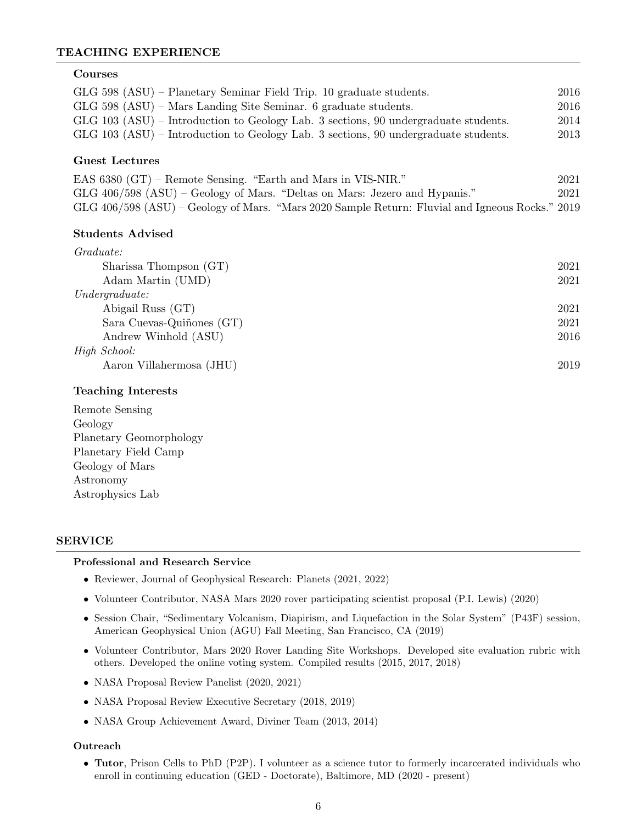# TEACHING EXPERIENCE

#### Courses

| $GLG$ 598 $(ASU)$ – Planetary Seminar Field Trip. 10 graduate students.               | 2016 |
|---------------------------------------------------------------------------------------|------|
| $GLG$ 598 (ASU) – Mars Landing Site Seminar. 6 graduate students.                     | 2016 |
| GLG $103$ (ASU) – Introduction to Geology Lab. 3 sections, 90 undergraduate students. | 2014 |
| GLG $103$ (ASU) – Introduction to Geology Lab. 3 sections, 90 undergraduate students. | 2013 |

# Guest Lectures

EAS 6380 (GT) – Remote Sensing. "Earth and Mars in VIS-NIR." 2021 GLG 406/598 (ASU) – Geology of Mars. "Deltas on Mars: Jezero and Hypanis." 2021 GLG 406/598 (ASU) – Geology of Mars. "Mars 2020 Sample Return: Fluvial and Igneous Rocks." 2019

# Students Advised

| Graduate:                 |      |
|---------------------------|------|
| Sharissa Thompson (GT)    | 2021 |
| Adam Martin (UMD)         | 2021 |
| Under graduate:           |      |
| Abigail Russ (GT)         | 2021 |
| Sara Cuevas-Quiñones (GT) | 2021 |
| Andrew Winhold (ASU)      | 2016 |
| High School:              |      |
| Aaron Villahermosa (JHU)  | 2019 |
|                           |      |

#### Teaching Interests

Remote Sensing Geology Planetary Geomorphology Planetary Field Camp Geology of Mars Astronomy Astrophysics Lab

# SERVICE

#### Professional and Research Service

- Reviewer, Journal of Geophysical Research: Planets (2021, 2022)
- Volunteer Contributor, NASA Mars 2020 rover participating scientist proposal (P.I. Lewis) (2020)
- Session Chair, "Sedimentary Volcanism, Diapirism, and Liquefaction in the Solar System" (P43F) session, American Geophysical Union (AGU) Fall Meeting, San Francisco, CA (2019)
- Volunteer Contributor, Mars 2020 Rover Landing Site Workshops. Developed site evaluation rubric with others. Developed the online voting system. Compiled results (2015, 2017, 2018)
- NASA Proposal Review Panelist (2020, 2021)
- NASA Proposal Review Executive Secretary (2018, 2019)
- NASA Group Achievement Award, Diviner Team (2013, 2014)

#### Outreach

• Tutor, Prison Cells to PhD (P2P). I volunteer as a science tutor to formerly incarcerated individuals who enroll in continuing education (GED - Doctorate), Baltimore, MD (2020 - present)